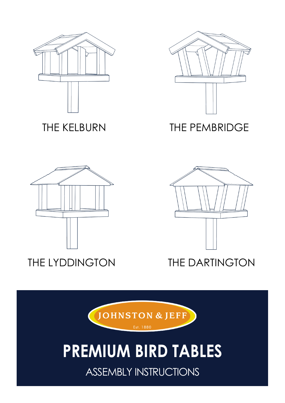





THE KELBURN THE PEMBRIDGE





# THE LYDDINGTON THE DARTINGTON



# **PREMIUM BIRD TABLES**

ASSEMBLY INSTRUCTIONS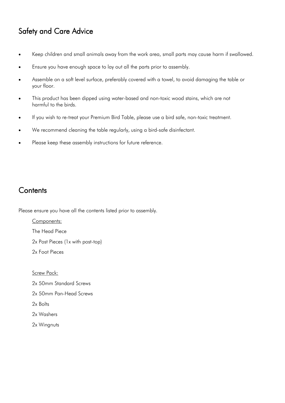# Safety and Care Advice

- Keep children and small animals away from the work area, small parts may cause harm if swallowed.
- Ensure you have enough space to lay out all the parts prior to assembly.
- Assemble on a soft level surface, preferably covered with a towel, to avoid damaging the table or your floor.
- This product has been dipped using water-based and non-toxic wood stains, which are not harmful to the birds.
- If you wish to re-treat your Premium Bird Table, please use a bird safe, non-toxic treatment.
- We recommend cleaning the table regularly, using a bird-safe disinfectant.
- Please keep these assembly instructions for future reference.

#### **Contents**

Please ensure you have all the contents listed prior to assembly.

Components:

The Head Piece

2x Post Pieces (1x with post-top)

2x Foot Pieces

Screw Pack:

2x 50mm Standard Screws

2x 50mm Pan-Head Screws

2x Bolts

2x Washers

2x Wingnuts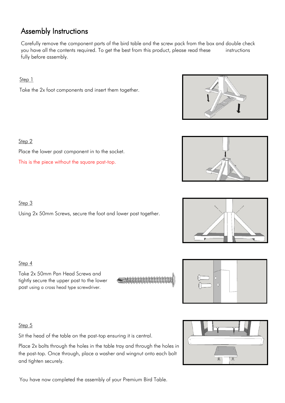## Assembly Instructions

Carefully remove the component parts of the bird table and the screw pack from the box and double check you have all the contents required. To get the best from this product, please read these instructions fully before assembly.

Step 1

Take the 2x foot components and insert them together.



Step 2

Place the lower post component in to the socket.

This is the piece without the square post-top.



Using 2x 50mm Screws, secure the foot and lower post together.

Step 4

Take 2x 50mm Pan Head Screws and tightly secure the upper post to the lower post using a cross head type screwdriver.



#### Step 5

Sit the head of the table on the post-top ensuring it is central.

Place 2x bolts through the holes in the table tray and through the holes in the post-top. Once through, place a washer and wingnut onto each bolt and tighten securely.

You have now completed the assembly of your Premium Bird Table.